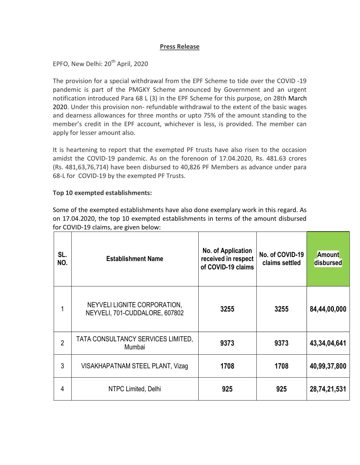## Press Release

EPFO, New Delhi: 20<sup>th</sup> April, 2020

The provision for a special withdrawal from the EPF Scheme to tide over the COVID -19 pandemic is part of the PMGKY Scheme announced by Government and an urgent notification introduced Para 68 L (3) in the EPF Scheme for this purpose, on 28th March 2020. Under this provision non- refundable withdrawal to the extent of the basic wages and dearness allowances for three months or upto 75% of the amount standing to the member's credit in the EPF account, whichever is less, is provided. The member can apply for lesser amount also.

It is heartening to report that the exempted PF trusts have also risen to the occasion amidst the COVID-19 pandemic. As on the forenoon of 17.04.2020, Rs. 481.63 crores (Rs. 481,63,76,714) have been disbursed to 40,826 PF Members as advance under para 68-L for COVID-19 by the exempted PF Trusts.

## Top 10 exempted establishments:

Some of the exempted establishments have also done exemplary work in this regard. As on 17.04.2020, the top 10 exempted establishments in terms of the amount disbursed for COVID-19 claims, are given below:

| SL.<br>NO.     | <b>Establishment Name</b>                                      | No. of Application<br>received in respect<br>of COVID-19 claims | No. of COVID-19<br>claims settled | <b>Amount</b><br>disbursed |
|----------------|----------------------------------------------------------------|-----------------------------------------------------------------|-----------------------------------|----------------------------|
|                | NEYVELI LIGNITE CORPORATION,<br>NEYVELI, 701-CUDDALORE, 607802 | 3255                                                            | 3255                              | 84,44,00,000               |
| $\overline{2}$ | TATA CONSULTANCY SERVICES LIMITED,<br>Mumbai                   | 9373                                                            | 9373                              | 43,34,04,641               |
| 3              | VISAKHAPATNAM STEEL PLANT, Vizag                               | 1708                                                            | 1708                              | 40,99,37,800               |
| 4              | NTPC Limited, Delhi                                            | 925                                                             | 925                               | 28,74,21,531               |